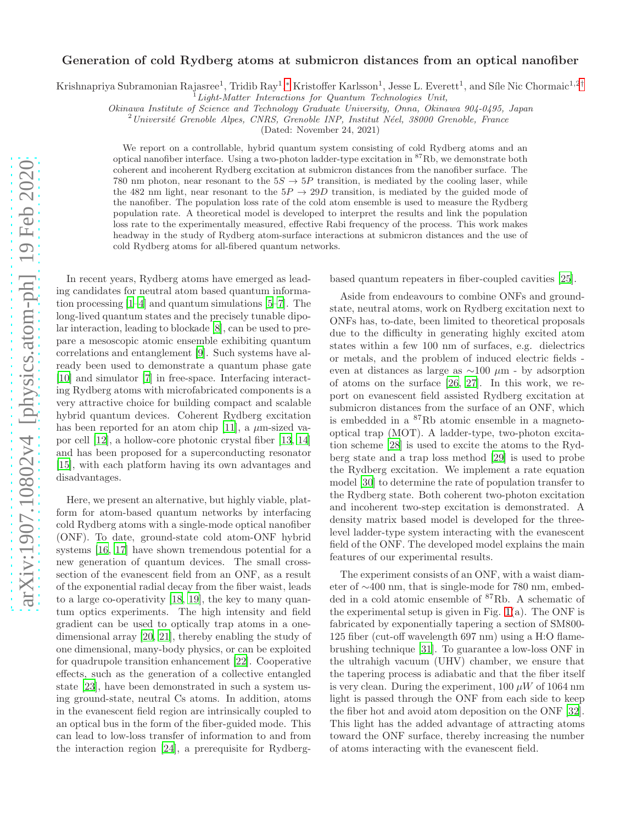## arXiv:1907.10802v4 [physics.atom-ph] 19 Feb 2020 [arXiv:1907.10802v4 \[physics.atom-ph\] 19 Feb 2020](http://arxiv.org/abs/1907.10802v4)

## Generation of cold Rydberg atoms at submicron distances from an optical nanofiber

Krishnapriya Subramonian Rajasree<sup>1</sup>, Tridib Ray<sup>1</sup>,\* Kristoffer Karlsson<sup>1</sup>, Jesse L. Everett<sup>1</sup>, and Síle Nic Chormaic<sup>1,2[†](#page-4-1)</sup>

<sup>1</sup>Light-Matter Interactions for Quantum Technologies Unit,

Okinawa Institute of Science and Technology Graduate University, Onna, Okinawa 904-0495, Japan

 $2$ Université Grenoble Alpes, CNRS, Grenoble INP, Institut Néel, 38000 Grenoble, France

(Dated: November 24, 2021)

We report on a controllable, hybrid quantum system consisting of cold Rydberg atoms and an optical nanofiber interface. Using a two-photon ladder-type excitation in <sup>87</sup>Rb, we demonstrate both coherent and incoherent Rydberg excitation at submicron distances from the nanofiber surface. The 780 nm photon, near resonant to the  $5S \rightarrow 5P$  transition, is mediated by the cooling laser, while the 482 nm light, near resonant to the  $5P \rightarrow 29D$  transition, is mediated by the guided mode of the nanofiber. The population loss rate of the cold atom ensemble is used to measure the Rydberg population rate. A theoretical model is developed to interpret the results and link the population loss rate to the experimentally measured, effective Rabi frequency of the process. This work makes headway in the study of Rydberg atom-surface interactions at submicron distances and the use of cold Rydberg atoms for all-fibered quantum networks.

In recent years, Rydberg atoms have emerged as leading candidates for neutral atom based quantum information processing [\[1](#page-4-2)[–4](#page-4-3)] and quantum simulations [\[5](#page-5-0)[–7](#page-5-1)]. The long-lived quantum states and the precisely tunable dipolar interaction, leading to blockade [\[8\]](#page-5-2), can be used to prepare a mesoscopic atomic ensemble exhibiting quantum correlations and entanglement [\[9](#page-5-3)]. Such systems have already been used to demonstrate a quantum phase gate [\[10\]](#page-5-4) and simulator [\[7](#page-5-1)] in free-space. Interfacing interacting Rydberg atoms with microfabricated components is a very attractive choice for building compact and scalable hybrid quantum devices. Coherent Rydberg excitation has been reported for an atom chip [\[11\]](#page-5-5), a  $\mu$ m-sized vapor cell [\[12](#page-5-6)], a hollow-core photonic crystal fiber [\[13](#page-5-7), [14](#page-5-8)] and has been proposed for a superconducting resonator [\[15\]](#page-5-9), with each platform having its own advantages and disadvantages.

Here, we present an alternative, but highly viable, platform for atom-based quantum networks by interfacing cold Rydberg atoms with a single-mode optical nanofiber (ONF). To date, ground-state cold atom-ONF hybrid systems [\[16](#page-5-10), [17\]](#page-5-11) have shown tremendous potential for a new generation of quantum devices. The small crosssection of the evanescent field from an ONF, as a result of the exponential radial decay from the fiber waist, leads to a large co-operativity [\[18](#page-5-12), [19](#page-5-13)], the key to many quantum optics experiments. The high intensity and field gradient can be used to optically trap atoms in a onedimensional array [\[20](#page-5-14), [21\]](#page-5-15), thereby enabling the study of one dimensional, many-body physics, or can be exploited for quadrupole transition enhancement [\[22\]](#page-5-16). Cooperative effects, such as the generation of a collective entangled state [\[23](#page-5-17)], have been demonstrated in such a system using ground-state, neutral Cs atoms. In addition, atoms in the evanescent field region are intrinsically coupled to an optical bus in the form of the fiber-guided mode. This can lead to low-loss transfer of information to and from the interaction region [\[24](#page-5-18)], a prerequisite for Rydbergbased quantum repeaters in fiber-coupled cavities [\[25](#page-5-19)].

Aside from endeavours to combine ONFs and groundstate, neutral atoms, work on Rydberg excitation next to ONFs has, to-date, been limited to theoretical proposals due to the difficulty in generating highly excited atom states within a few 100 nm of surfaces, e.g. dielectrics or metals, and the problem of induced electric fields even at distances as large as  $\sim$ 100 µm - by adsorption of atoms on the surface [\[26,](#page-5-20) [27](#page-5-21)]. In this work, we report on evanescent field assisted Rydberg excitation at submicron distances from the surface of an ONF, which is embedded in a <sup>87</sup>Rb atomic ensemble in a magnetooptical trap (MOT). A ladder-type, two-photon excitation scheme [\[28\]](#page-5-22) is used to excite the atoms to the Rydberg state and a trap loss method [\[29\]](#page-5-23) is used to probe the Rydberg excitation. We implement a rate equation model [\[30\]](#page-5-24) to determine the rate of population transfer to the Rydberg state. Both coherent two-photon excitation and incoherent two-step excitation is demonstrated. A density matrix based model is developed for the threelevel ladder-type system interacting with the evanescent field of the ONF. The developed model explains the main features of our experimental results.

The experiment consists of an ONF, with a waist diameter of ∼400 nm, that is single-mode for 780 nm, embedded in a cold atomic ensemble of <sup>87</sup>Rb. A schematic of the experimental setup is given in Fig.  $1(a)$  $1(a)$ . The ONF is fabricated by exponentially tapering a section of SM800- 125 fiber (cut-off wavelength 697 nm) using a H:O flamebrushing technique [31]. To guarantee a low-loss ONF in the ultrahigh vacuum (UHV) chamber, we ensure that the tapering process is adiabatic and that the fiber itself is very clean. During the experiment,  $100 \mu W$  of  $1064 \text{ nm}$ light is passed through the ONF from each side to keep the fiber hot and avoid atom deposition on the ONF [32]. This light has the added advantage of attracting atoms toward the ONF surface, thereby increasing the number of atoms interacting with the evanescent field.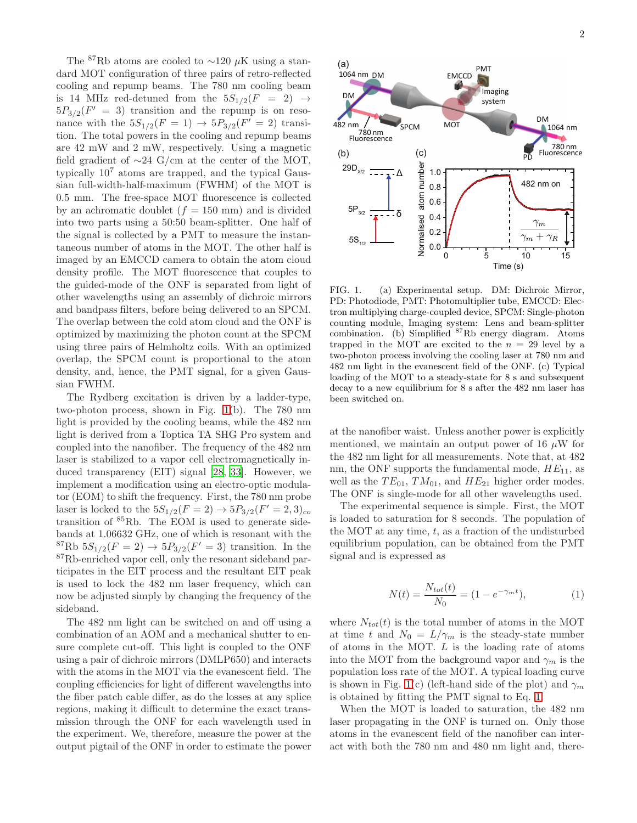The <sup>87</sup>Rb atoms are cooled to ~120  $\mu$ K using a standard MOT configuration of three pairs of retro-reflected cooling and repump beams. The 780 nm cooling beam is 14 MHz red-detuned from the  $5S_{1/2}(F = 2) \rightarrow$  $5P_{3/2}(F' = 3)$  transition and the repump is on resonance with the  $5S_{1/2}(F = 1) \rightarrow 5P_{3/2}(F' = 2)$  transition. The total powers in the cooling and repump beams are 42 mW and 2 mW, respectively. Using a magnetic field gradient of  $\sim$ 24 G/cm at the center of the MOT, typically 10<sup>7</sup> atoms are trapped, and the typical Gaussian full-width-half-maximum (FWHM) of the MOT is 0.5 mm. The free-space MOT fluorescence is collected by an achromatic doublet  $(f = 150 \text{ mm})$  and is divided into two parts using a 50:50 beam-splitter. One half of the signal is collected by a PMT to measure the instantaneous number of atoms in the MOT. The other half is imaged by an EMCCD camera to obtain the atom cloud density profile. The MOT fluorescence that couples to the guided-mode of the ONF is separated from light of other wavelengths using an assembly of dichroic mirrors and bandpass filters, before being delivered to an SPCM. The overlap between the cold atom cloud and the ONF is optimized by maximizing the photon count at the SPCM using three pairs of Helmholtz coils. With an optimized overlap, the SPCM count is proportional to the atom density, and, hence, the PMT signal, for a given Gaussian FWHM.

The Rydberg excitation is driven by a ladder-type, two-photon process, shown in Fig. [1\(](#page-1-0)b). The 780 nm light is provided by the cooling beams, while the 482 nm light is derived from a Toptica TA SHG Pro system and coupled into the nanofiber. The frequency of the 482 nm laser is stabilized to a vapor cell electromagnetically induced transparency (EIT) signal [\[28,](#page-5-22) 33]. However, we implement a modification using an electro-optic modulator (EOM) to shift the frequency. First, the 780 nm probe laser is locked to the  $5S_{1/2}(F = 2) \rightarrow 5P_{3/2}(F' = 2, 3)_{co}$ transition of <sup>85</sup>Rb. The EOM is used to generate sidebands at 1.06632 GHz, one of which is resonant with the  ${}^{87}Rb 5S_{1/2}(F = 2) \rightarrow 5P_{3/2}(F' = 3)$  transition. In the <sup>87</sup>Rb-enriched vapor cell, only the resonant sideband participates in the EIT process and the resultant EIT peak is used to lock the 482 nm laser frequency, which can now be adjusted simply by changing the frequency of the sideband.

The 482 nm light can be switched on and off using a combination of an AOM and a mechanical shutter to ensure complete cut-off. This light is coupled to the ONF using a pair of dichroic mirrors (DMLP650) and interacts with the atoms in the MOT via the evanescent field. The coupling efficiencies for light of different wavelengths into the fiber patch cable differ, as do the losses at any splice regions, making it difficult to determine the exact transmission through the ONF for each wavelength used in the experiment. We, therefore, measure the power at the output pigtail of the ONF in order to estimate the power



<span id="page-1-0"></span>FIG. 1. (a) Experimental setup. DM: Dichroic Mirror, PD: Photodiode, PMT: Photomultiplier tube, EMCCD: Electron multiplying charge-coupled device, SPCM: Single-photon counting module, Imaging system: Lens and beam-splitter combination. (b) Simplified  ${}^{87}$ Rb energy diagram. Atoms trapped in the MOT are excited to the  $n = 29$  level by a two-photon process involving the cooling laser at 780 nm and 482 nm light in the evanescent field of the ONF. (c) Typical loading of the MOT to a steady-state for 8 s and subsequent decay to a new equilibrium for 8 s after the 482 nm laser has been switched on.

at the nanofiber waist. Unless another power is explicitly mentioned, we maintain an output power of 16  $\mu$ W for the 482 nm light for all measurements. Note that, at 482 nm, the ONF supports the fundamental mode,  $HE_{11}$ , as well as the  $TE_{01}$ ,  $TM_{01}$ , and  $HE_{21}$  higher order modes. The ONF is single-mode for all other wavelengths used.

The experimental sequence is simple. First, the MOT is loaded to saturation for 8 seconds. The population of the MOT at any time,  $t$ , as a fraction of the undisturbed equilibrium population, can be obtained from the PMT signal and is expressed as

<span id="page-1-1"></span>
$$
N(t) = \frac{N_{tot}(t)}{N_0} = (1 - e^{-\gamma_m t}),
$$
\n(1)

where  $N_{tot}(t)$  is the total number of atoms in the MOT at time t and  $N_0 = L/\gamma_m$  is the steady-state number of atoms in the MOT. L is the loading rate of atoms into the MOT from the background vapor and  $\gamma_m$  is the population loss rate of the MOT. A typical loading curve is shown in Fig. [1\(](#page-1-0)c) (left-hand side of the plot) and  $\gamma_m$ is obtained by fitting the PMT signal to Eq. [1.](#page-1-1)

When the MOT is loaded to saturation, the 482 nm laser propagating in the ONF is turned on. Only those atoms in the evanescent field of the nanofiber can interact with both the 780 nm and 480 nm light and, there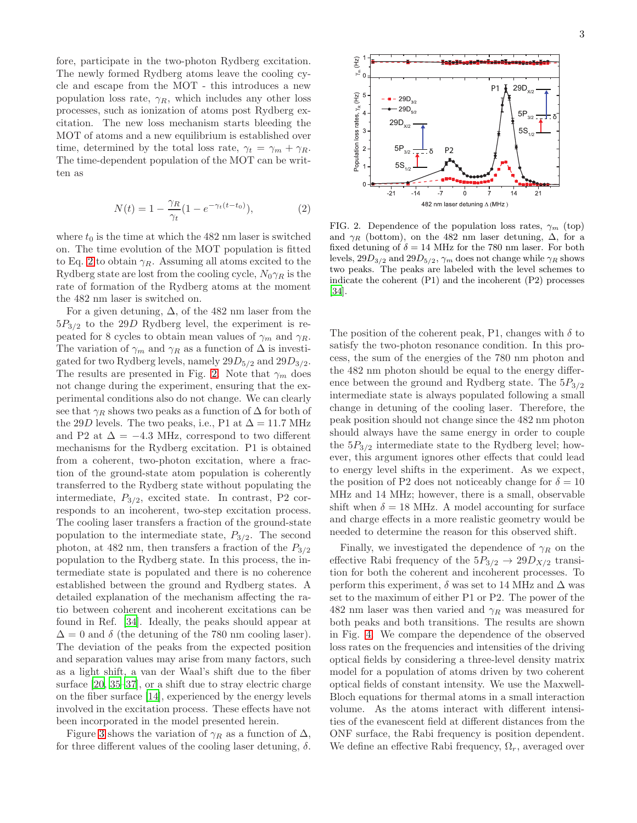fore, participate in the two-photon Rydberg excitation. The newly formed Rydberg atoms leave the cooling cycle and escape from the MOT - this introduces a new population loss rate,  $\gamma_R$ , which includes any other loss processes, such as ionization of atoms post Rydberg excitation. The new loss mechanism starts bleeding the MOT of atoms and a new equilibrium is established over time, determined by the total loss rate,  $\gamma_t = \gamma_m + \gamma_R$ . The time-dependent population of the MOT can be written as

<span id="page-2-0"></span>
$$
N(t) = 1 - \frac{\gamma_R}{\gamma_t} (1 - e^{-\gamma_t (t - t_0)}),
$$
 (2)

where  $t_0$  is the time at which the 482 nm laser is switched on. The time evolution of the MOT population is fitted to Eq. [2](#page-2-0) to obtain  $\gamma_R$ . Assuming all atoms excited to the Rydberg state are lost from the cooling cycle,  $N_0\gamma_R$  is the rate of formation of the Rydberg atoms at the moment the 482 nm laser is switched on.

For a given detuning,  $\Delta$ , of the 482 nm laser from the  $5P_{3/2}$  to the 29D Rydberg level, the experiment is repeated for 8 cycles to obtain mean values of  $\gamma_m$  and  $\gamma_R$ . The variation of  $\gamma_m$  and  $\gamma_R$  as a function of  $\Delta$  is investigated for two Rydberg levels, namely  $29D_{5/2}$  and  $29D_{3/2}$ . The results are presented in Fig. [2.](#page-2-1) Note that  $\gamma_m$  does not change during the experiment, ensuring that the experimental conditions also do not change. We can clearly see that  $\gamma_R$  shows two peaks as a function of  $\Delta$  for both of the 29D levels. The two peaks, i.e., P1 at  $\Delta = 11.7$  MHz and P2 at  $\Delta = -4.3$  MHz, correspond to two different mechanisms for the Rydberg excitation. P1 is obtained from a coherent, two-photon excitation, where a fraction of the ground-state atom population is coherently transferred to the Rydberg state without populating the intermediate,  $P_{3/2}$ , excited state. In contrast, P2 corresponds to an incoherent, two-step excitation process. The cooling laser transfers a fraction of the ground-state population to the intermediate state,  $P_{3/2}$ . The second photon, at 482 nm, then transfers a fraction of the  $P_{3/2}$ population to the Rydberg state. In this process, the intermediate state is populated and there is no coherence established between the ground and Rydberg states. A detailed explanation of the mechanism affecting the ratio between coherent and incoherent excitations can be found in Ref. [\[34](#page-5-25)]. Ideally, the peaks should appear at  $\Delta = 0$  and  $\delta$  (the detuning of the 780 nm cooling laser). The deviation of the peaks from the expected position and separation values may arise from many factors, such as a light shift, a van der Waal's shift due to the fiber surface [\[20](#page-5-14), [35](#page-5-26)[–37\]](#page-5-27), or a shift due to stray electric charge on the fiber surface [\[14](#page-5-8)], experienced by the energy levels involved in the excitation process. These effects have not been incorporated in the model presented herein.

Figure [3](#page-3-0) shows the variation of  $\gamma_R$  as a function of  $\Delta$ , for three different values of the cooling laser detuning,  $\delta$ .



<span id="page-2-1"></span>FIG. 2. Dependence of the population loss rates,  $\gamma_m$  (top) and  $\gamma_R$  (bottom), on the 482 nm laser detuning,  $\Delta$ , for a fixed detuning of  $\delta = 14$  MHz for the 780 nm laser. For both levels,  $29D_{3/2}$  and  $29D_{5/2}$ ,  $\gamma_m$  does not change while  $\gamma_R$  shows two peaks. The peaks are labeled with the level schemes to indicate the coherent (P1) and the incoherent (P2) processes [\[34\]](#page-5-25).

The position of the coherent peak, P1, changes with  $\delta$  to satisfy the two-photon resonance condition. In this process, the sum of the energies of the 780 nm photon and the 482 nm photon should be equal to the energy difference between the ground and Rydberg state. The  $5P_{3/2}$ intermediate state is always populated following a small change in detuning of the cooling laser. Therefore, the peak position should not change since the 482 nm photon should always have the same energy in order to couple the  $5P_{3/2}$  intermediate state to the Rydberg level; however, this argument ignores other effects that could lead to energy level shifts in the experiment. As we expect, the position of P2 does not noticeably change for  $\delta = 10$ MHz and 14 MHz; however, there is a small, observable shift when  $\delta = 18$  MHz. A model accounting for surface and charge effects in a more realistic geometry would be needed to determine the reason for this observed shift.

Finally, we investigated the dependence of  $\gamma_R$  on the effective Rabi frequency of the  $5P_{3/2} \rightarrow 29D_{X/2}$  transition for both the coherent and incoherent processes. To perform this experiment,  $\delta$  was set to 14 MHz and  $\Delta$  was set to the maximum of either P1 or P2. The power of the 482 nm laser was then varied and  $\gamma_R$  was measured for both peaks and both transitions. The results are shown in Fig. [4.](#page-3-1) We compare the dependence of the observed loss rates on the frequencies and intensities of the driving optical fields by considering a three-level density matrix model for a population of atoms driven by two coherent optical fields of constant intensity. We use the Maxwell-Bloch equations for thermal atoms in a small interaction volume. As the atoms interact with different intensities of the evanescent field at different distances from the ONF surface, the Rabi frequency is position dependent. We define an effective Rabi frequency,  $\Omega_r$ , averaged over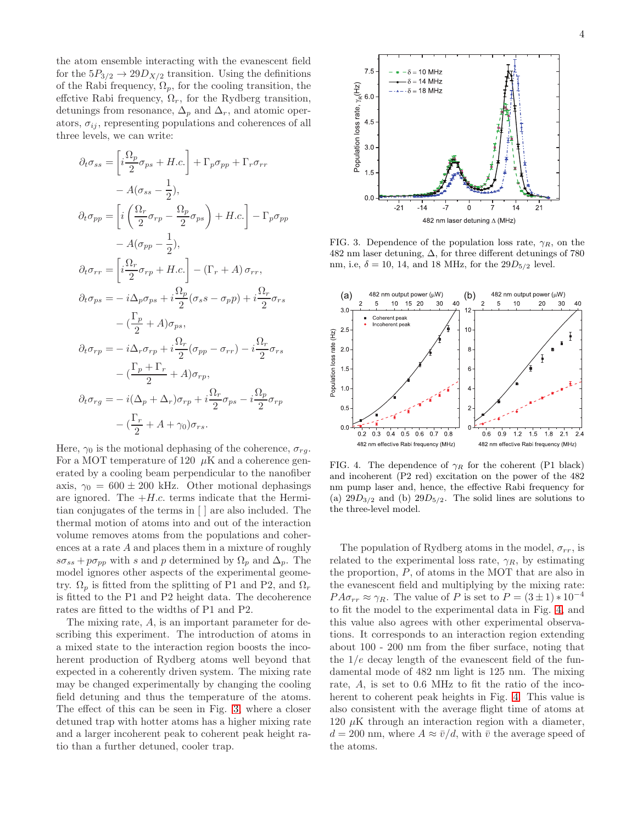the atom ensemble interacting with the evanescent field for the  $5P_{3/2} \rightarrow 29D_{X/2}$  transition. Using the definitions of the Rabi frequency,  $\Omega_p$ , for the cooling transition, the effctive Rabi frequency,  $\Omega_r$ , for the Rydberg transition, detunings from resonance,  $\Delta_p$  and  $\Delta_r$ , and atomic operators,  $\sigma_{ij}$ , representing populations and coherences of all three levels, we can write:

$$
\partial_t \sigma_{ss} = \left[ i \frac{\Omega_p}{2} \sigma_{ps} + H.c. \right] + \Gamma_p \sigma_{pp} + \Gamma_r \sigma_{rr}
$$
  
\n
$$
- A(\sigma_{ss} - \frac{1}{2}),
$$
  
\n
$$
\partial_t \sigma_{pp} = \left[ i \left( \frac{\Omega_r}{2} \sigma_{rp} - \frac{\Omega_p}{2} \sigma_{ps} \right) + H.c. \right] - \Gamma_p \sigma_{pp}
$$
  
\n
$$
- A(\sigma_{pp} - \frac{1}{2}),
$$
  
\n
$$
\partial_t \sigma_{rr} = \left[ i \frac{\Omega_r}{2} \sigma_{rp} + H.c. \right] - (\Gamma_r + A) \sigma_{rr},
$$
  
\n
$$
\partial_t \sigma_{ps} = -i \Delta_p \sigma_{ps} + i \frac{\Omega_p}{2} (\sigma_s s - \sigma_p p) + i \frac{\Omega_r}{2} \sigma_{rs}
$$
  
\n
$$
- (\frac{\Gamma_p}{2} + A) \sigma_{ps},
$$
  
\n
$$
\partial_t \sigma_{rp} = -i \Delta_r \sigma_{rp} + i \frac{\Omega_r}{2} (\sigma_{pp} - \sigma_{rr}) - i \frac{\Omega_r}{2} \sigma_{rs}
$$
  
\n
$$
- (\frac{\Gamma_p + \Gamma_r}{2} + A) \sigma_{rp},
$$
  
\n
$$
\partial_t \sigma_{rg} = -i (\Delta_p + \Delta_r) \sigma_{rp} + i \frac{\Omega_r}{2} \sigma_{ps} - i \frac{\Omega_p}{2} \sigma_{rp}
$$
  
\n
$$
- (\frac{\Gamma_r}{2} + A + \gamma_0) \sigma_{rs}.
$$

Here,  $\gamma_0$  is the motional dephasing of the coherence,  $\sigma_{rq}$ . For a MOT temperature of 120  $\mu$ K and a coherence generated by a cooling beam perpendicular to the nanofiber axis,  $\gamma_0 = 600 \pm 200$  kHz. Other motional dephasings are ignored. The  $+H.c.$  terms indicate that the Hermitian conjugates of the terms in [ ] are also included. The thermal motion of atoms into and out of the interaction volume removes atoms from the populations and coherences at a rate A and places them in a mixture of roughly  $s\sigma_{ss} + p\sigma_{pp}$  with s and p determined by  $\Omega_p$  and  $\Delta_p$ . The model ignores other aspects of the experimental geometry.  $\Omega_p$  is fitted from the splitting of P1 and P2, and  $\Omega_r$ is fitted to the P1 and P2 height data. The decoherence rates are fitted to the widths of P1 and P2.

The mixing rate, A, is an important parameter for describing this experiment. The introduction of atoms in a mixed state to the interaction region boosts the incoherent production of Rydberg atoms well beyond that expected in a coherently driven system. The mixing rate may be changed experimentally by changing the cooling field detuning and thus the temperature of the atoms. The effect of this can be seen in Fig. [3,](#page-3-0) where a closer detuned trap with hotter atoms has a higher mixing rate and a larger incoherent peak to coherent peak height ratio than a further detuned, cooler trap.



<span id="page-3-0"></span>FIG. 3. Dependence of the population loss rate,  $\gamma_R$ , on the 482 nm laser detuning,  $\Delta$ , for three different detunings of 780 nm, i.e,  $\delta = 10, 14,$  and 18 MHz, for the  $29D_{5/2}$  level.



<span id="page-3-1"></span>FIG. 4. The dependence of  $\gamma_R$  for the coherent (P1 black) and incoherent (P2 red) excitation on the power of the 482 nm pump laser and, hence, the effective Rabi frequency for (a)  $29D_{3/2}$  and (b)  $29D_{5/2}$ . The solid lines are solutions to the three-level model.

The population of Rydberg atoms in the model,  $\sigma_{rr}$ , is related to the experimental loss rate,  $\gamma_R$ , by estimating the proportion, P, of atoms in the MOT that are also in the evanescent field and multiplying by the mixing rate:  $PA\sigma_{rr} \approx \gamma_R$ . The value of P is set to  $P = (3 \pm 1) * 10^{-4}$ to fit the model to the experimental data in Fig. [4,](#page-3-1) and this value also agrees with other experimental observations. It corresponds to an interaction region extending about 100 - 200 nm from the fiber surface, noting that the  $1/e$  decay length of the evanescent field of the fundamental mode of 482 nm light is 125 nm. The mixing rate, A, is set to 0.6 MHz to fit the ratio of the incoherent to coherent peak heights in Fig. [4.](#page-3-1) This value is also consistent with the average flight time of atoms at 120  $\mu$ K through an interaction region with a diameter,  $d = 200$  nm, where  $A \approx \bar{v}/d$ , with  $\bar{v}$  the average speed of the atoms.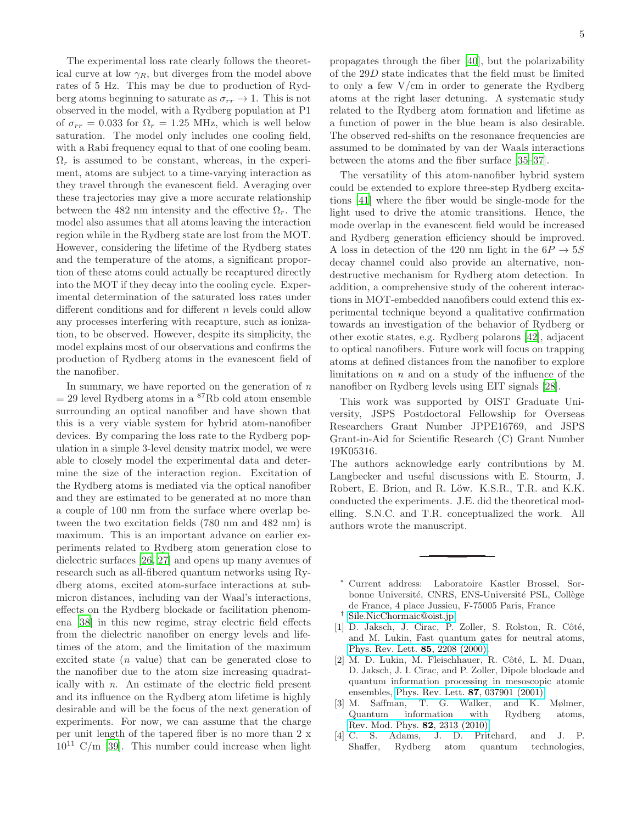The experimental loss rate clearly follows the theoretical curve at low  $\gamma_R$ , but diverges from the model above rates of 5 Hz. This may be due to production of Rydberg atoms beginning to saturate as  $\sigma_{rr} \rightarrow 1$ . This is not observed in the model, with a Rydberg population at P1 of  $\sigma_{rr} = 0.033$  for  $\Omega_r = 1.25$  MHz, which is well below saturation. The model only includes one cooling field, with a Rabi frequency equal to that of one cooling beam.  $\Omega_r$  is assumed to be constant, whereas, in the experiment, atoms are subject to a time-varying interaction as they travel through the evanescent field. Averaging over these trajectories may give a more accurate relationship between the 482 nm intensity and the effective  $\Omega_r$ . The model also assumes that all atoms leaving the interaction region while in the Rydberg state are lost from the MOT. However, considering the lifetime of the Rydberg states and the temperature of the atoms, a significant proportion of these atoms could actually be recaptured directly into the MOT if they decay into the cooling cycle. Experimental determination of the saturated loss rates under different conditions and for different n levels could allow any processes interfering with recapture, such as ionization, to be observed. However, despite its simplicity, the model explains most of our observations and confirms the production of Rydberg atoms in the evanescent field of the nanofiber.

In summary, we have reported on the generation of  $n$  $= 29$  level Rydberg atoms in a <sup>87</sup>Rb cold atom ensemble surrounding an optical nanofiber and have shown that this is a very viable system for hybrid atom-nanofiber devices. By comparing the loss rate to the Rydberg population in a simple 3-level density matrix model, we were able to closely model the experimental data and determine the size of the interaction region. Excitation of the Rydberg atoms is mediated via the optical nanofiber and they are estimated to be generated at no more than a couple of 100 nm from the surface where overlap between the two excitation fields (780 nm and 482 nm) is maximum. This is an important advance on earlier experiments related to Rydberg atom generation close to dielectric surfaces [\[26](#page-5-20), [27\]](#page-5-21) and opens up many avenues of research such as all-fibered quantum networks using Rydberg atoms, excited atom-surface interactions at submicron distances, including van der Waal's interactions, effects on the Rydberg blockade or facilitation phenomena [\[38\]](#page-6-0) in this new regime, stray electric field effects from the dielectric nanofiber on energy levels and lifetimes of the atom, and the limitation of the maximum excited state (n value) that can be generated close to the nanofiber due to the atom size increasing quadratically with n. An estimate of the electric field present and its influence on the Rydberg atom lifetime is highly desirable and will be the focus of the next generation of experiments. For now, we can assume that the charge per unit length of the tapered fiber is no more than 2 x  $10^{11}$  C/m [\[39\]](#page-6-1). This number could increase when light

propagates through the fiber [\[40](#page-6-2)], but the polarizability of the 29D state indicates that the field must be limited to only a few V/cm in order to generate the Rydberg atoms at the right laser detuning. A systematic study related to the Rydberg atom formation and lifetime as a function of power in the blue beam is also desirable. The observed red-shifts on the resonance frequencies are assumed to be dominated by van der Waals interactions between the atoms and the fiber surface [\[35](#page-5-26)[–37\]](#page-5-27).

The versatility of this atom-nanofiber hybrid system could be extended to explore three-step Rydberg excitations [\[41\]](#page-6-3) where the fiber would be single-mode for the light used to drive the atomic transitions. Hence, the mode overlap in the evanescent field would be increased and Rydberg generation efficiency should be improved. A loss in detection of the 420 nm light in the  $6P \rightarrow 5S$ decay channel could also provide an alternative, nondestructive mechanism for Rydberg atom detection. In addition, a comprehensive study of the coherent interactions in MOT-embedded nanofibers could extend this experimental technique beyond a qualitative confirmation towards an investigation of the behavior of Rydberg or other exotic states, e.g. Rydberg polarons [\[42\]](#page-6-4), adjacent to optical nanofibers. Future work will focus on trapping atoms at defined distances from the nanofiber to explore limitations on  $n$  and on a study of the influence of the nanofiber on Rydberg levels using EIT signals [\[28\]](#page-5-22).

This work was supported by OIST Graduate University, JSPS Postdoctoral Fellowship for Overseas Researchers Grant Number JPPE16769, and JSPS Grant-in-Aid for Scientific Research (C) Grant Number 19K05316.

The authors acknowledge early contributions by M. Langbecker and useful discussions with E. Stourm, J. Robert, E. Brion, and R. Löw. K.S.R., T.R. and K.K. conducted the experiments. J.E. did the theoretical modelling. S.N.C. and T.R. conceptualized the work. All authors wrote the manuscript.

- <span id="page-4-2"></span><span id="page-4-1"></span>[1] D. Jaksch, J. Cirac, P. Zoller, S. Rolston, R. Côté, and M. Lukin, Fast quantum gates for neutral atoms, [Phys. Rev. Lett.](https://doi.org/10.1103/PhysRevLett.85.2208) 85, 2208 (2000).
- [2] M. D. Lukin, M. Fleischhauer, R. Côté, L. M. Duan, D. Jaksch, J. I. Cirac, and P. Zoller, Dipole blockade and quantum information processing in mesoscopic atomic ensembles, [Phys. Rev. Lett.](https://doi.org/10.1103/PhysRevLett.87.037901) 87, 037901 (2001).
- [3] M. Saffman, T. G. Walker, and K. Mølmer, Quantum information with Rydberg [Rev. Mod. Phys.](https://doi.org/10.1103/RevModPhys.82.2313) 82, 2313 (2010).
- <span id="page-4-3"></span>[4] C. S. Adams, J. D. Pritchard, and J. P. Shaffer, Rydberg atom quantum technologies,

<span id="page-4-0"></span><sup>∗</sup> Current address: Laboratoire Kastler Brossel, Sorbonne Université, CNRS, ENS-Université PSL, Collège de France, 4 place Jussieu, F-75005 Paris, France † [Sile.NicChormaic@oist.jp](mailto:Sile.NicChormaic@oist.jp)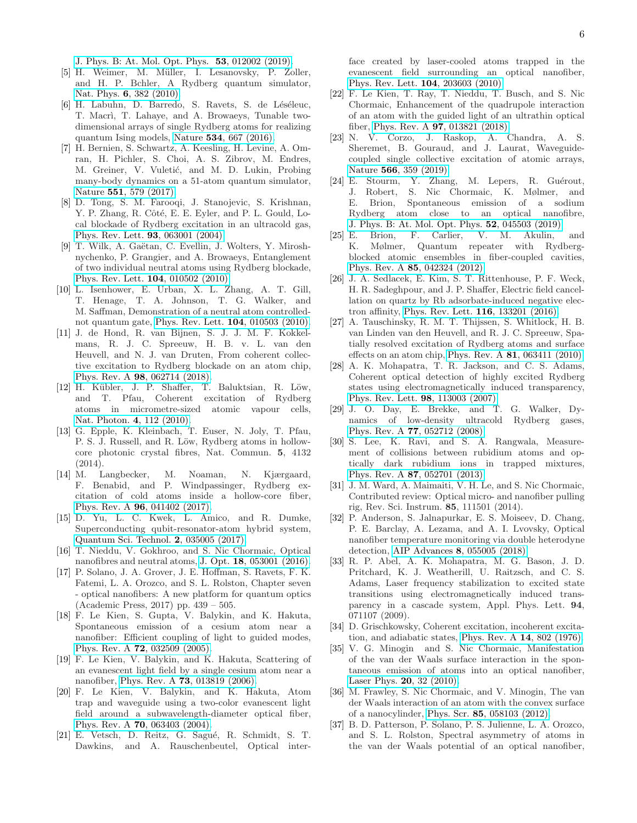[J. Phys. B: At. Mol. Opt. Phys.](http://arxiv.org/abs/1907.09231) 53, 012002 (2019).

- <span id="page-5-0"></span>[5] H. Weimer, M. Müller, I. Lesanovsky, P. Zoller, and H. P. Bchler, A Rydberg quantum simulator, Nat. Phys. 6[, 382 \(2010\).](https://doi.org/10.1038/nphys1614)
- [6] H. Labuhn, D. Barredo, S. Ravets, S. de Léséleuc, T. Macrì, T. Lahaye, and A. Browaeys, Tunable twodimensional arrays of single Rydberg atoms for realizing quantum Ising models, Nature 534[, 667 \(2016\).](https://doi.org/10.1038/nature18274)
- <span id="page-5-1"></span>[7] H. Bernien, S. Schwartz, A. Keesling, H. Levine, A. Omran, H. Pichler, S. Choi, A. S. Zibrov, M. Endres, M. Greiner, V. Vuletić, and M. D. Lukin, Probing many-body dynamics on a 51-atom quantum simulator, Nature 551[, 579 \(2017\).](https://doi.org/10.1038/nature24622)
- <span id="page-5-2"></span>[8] D. Tong, S. M. Farooqi, J. Stanojevic, S. Krishnan, Y. P. Zhang, R. Côté, E. E. Eyler, and P. L. Gould, Local blockade of Rydberg excitation in an ultracold gas, [Phys. Rev. Lett.](https://doi.org/10.1103/PhysRevLett.93.063001) 93, 063001 (2004).
- <span id="page-5-3"></span>[9] T. Wilk, A. Gaëtan, C. Evellin, J. Wolters, Y. Miroshnychenko, P. Grangier, and A. Browaeys, Entanglement of two individual neutral atoms using Rydberg blockade, [Phys. Rev. Lett.](https://doi.org/10.1103/PhysRevLett.104.010502) 104, 010502 (2010).
- <span id="page-5-4"></span>[10] L. Isenhower, E. Urban, X. L. Zhang, A. T. Gill, T. Henage, T. A. Johnson, T. G. Walker, and M. Saffman, Demonstration of a neutral atom controllednot quantum gate, [Phys. Rev. Lett.](https://doi.org/10.1103/PhysRevLett.104.010503) 104, 010503 (2010).
- <span id="page-5-5"></span>[11] J. de Hond, R. van Bijnen, S. J. J. M. F. Kokkelmans, R. J. C. Spreeuw, H. B. v. L. van den Heuvell, and N. J. van Druten, From coherent collective excitation to Rydberg blockade on an atom chip, Phys. Rev. A 98[, 062714 \(2018\).](https://doi.org/10.1103/PhysRevA.98.062714)
- <span id="page-5-6"></span>[12] H. Kübler, J. P. Shaffer, T. Baluktsian, R. Löw, and T. Pfau, Coherent excitation of Rydberg atoms in micrometre-sized atomic vapour cells, [Nat. Photon.](https://doi.org/10.1038/nphoton.2009.260) 4, 112 (2010).
- <span id="page-5-7"></span>[13] G. Epple, K. Kleinbach, T. Euser, N. Joly, T. Pfau, P. S. J. Russell, and R. Löw, Rydberg atoms in hollowcore photonic crystal fibres, Nat. Commun. 5, 4132 (2014).
- <span id="page-5-8"></span>[14] M. Langbecker, M. Noaman, N. Kjærgaard, F. Benabid, and P. Windpassinger, Rydberg excitation of cold atoms inside a hollow-core fiber, Phys. Rev. A 96[, 041402 \(2017\).](https://doi.org/10.1103/PhysRevA.96.041402)
- <span id="page-5-9"></span>[15] D. Yu, L. C. Kwek, L. Amico, and R. Dumke, Superconducting qubit-resonator-atom hybrid system, [Quantum Sci. Technol.](https://doi.org/10.1088/2058-9565/aa7c50) 2, 035005 (2017).
- <span id="page-5-10"></span>[16] T. Nieddu, V. Gokhroo, and S. Nic Chormaic, Optical nanofibres and neutral atoms, J. Opt. 18[, 053001 \(2016\).](http://stacks.iop.org/2040-8986/18/i=5/a=053001)
- <span id="page-5-11"></span>[17] P. Solano, J. A. Grover, J. E. Hoffman, S. Ravets, F. K. Fatemi, L. A. Orozco, and S. L. Rolston, Chapter seven - optical nanofibers: A new platform for quantum optics (Academic Press, 2017) pp. 439 – 505.
- <span id="page-5-12"></span>[18] F. Le Kien, S. Gupta, V. Balykin, and K. Hakuta, Spontaneous emission of a cesium atom near a nanofiber: Efficient coupling of light to guided modes, Phys. Rev. A 72[, 032509 \(2005\).](https://doi.org/10.1103/PhysRevA.72.032509)
- <span id="page-5-13"></span>[19] F. Le Kien, V. Balykin, and K. Hakuta, Scattering of an evanescent light field by a single cesium atom near a nanofiber, Phys. Rev. A 73[, 013819 \(2006\).](https://doi.org/10.1103/PhysRevA.73.013819)
- <span id="page-5-14"></span>[20] F. Le Kien, V. Balykin, and K. Hakuta, Atom trap and waveguide using a two-color evanescent light field around a subwavelength-diameter optical fiber, Phys. Rev. A 70[, 063403 \(2004\).](https://doi.org/10.1103/PhysRevA.70.063403)
- <span id="page-5-15"></span>[21] E. Vetsch, D. Reitz, G. Sagué, R. Schmidt, S. T. Dawkins, and A. Rauschenbeutel, Optical inter-

face created by laser-cooled atoms trapped in the evanescent field surrounding an optical nanofiber, [Phys. Rev. Lett.](https://doi.org/10.1103/PhysRevLett.104.203603) 104, 203603 (2010).

- <span id="page-5-16"></span>[22] F. Le Kien, T. Ray, T. Nieddu, T. Busch, and S. Nic Chormaic, Enhancement of the quadrupole interaction of an atom with the guided light of an ultrathin optical fiber, Phys. Rev. A 97[, 013821 \(2018\).](https://doi.org/10.1103/PhysRevA.97.013821)
- <span id="page-5-17"></span>[23] N. V. Corzo, J. Raskop, A. Chandra, A. S. Sheremet, B. Gouraud, and J. Laurat, Waveguidecoupled single collective excitation of atomic arrays, Nature 566[, 359 \(2019\).](https://doi.org/10.1038/s41586-019-0902-3)
- <span id="page-5-18"></span>[24] E. Stourm, Y. Zhang, M. Lepers, R. Guérout, J. Robert, S. Nic Chormaic, K. Mølmer, and E. Brion, Spontaneous emission of a sodium Rydberg atom close to an optical nanofibre, [J. Phys. B: At. Mol. Opt. Phys.](https://doi.org/10.1088/1361-6455/aafb95) 52, 045503 (2019).
- <span id="page-5-19"></span>[25] E. Brion, F. Carlier, V. M. Akulin, and K. Mølmer, Quantum repeater with Rydbergblocked atomic ensembles in fiber-coupled cavities, Phys. Rev. A 85[, 042324 \(2012\).](https://doi.org/10.1103/PhysRevA.85.042324)
- <span id="page-5-20"></span>[26] J. A. Sedlacek, E. Kim, S. T. Rittenhouse, P. F. Weck, H. R. Sadeghpour, and J. P. Shaffer, Electric field cancellation on quartz by Rb adsorbate-induced negative electron affinity, [Phys. Rev. Lett.](https://doi.org/10.1103/PhysRevLett.116.133201) 116, 133201 (2016).
- <span id="page-5-21"></span>[27] A. Tauschinsky, R. M. T. Thijssen, S. Whitlock, H. B. van Linden van den Heuvell, and R. J. C. Spreeuw, Spatially resolved excitation of Rydberg atoms and surface effects on an atom chip, Phys. Rev. A 81[, 063411 \(2010\).](https://doi.org/10.1103/PhysRevA.81.063411)
- <span id="page-5-22"></span>[28] A. K. Mohapatra, T. R. Jackson, and C. S. Adams, Coherent optical detection of highly excited Rydberg states using electromagnetically induced transparency, [Phys. Rev. Lett.](https://doi.org/10.1103/PhysRevLett.98.113003) 98, 113003 (2007).
- <span id="page-5-23"></span>[29] J. O. Day, E. Brekke, and T. G. Walker, Dynamics of low-density ultracold Rydberg gases, Phys. Rev. A 77[, 052712 \(2008\).](https://doi.org/10.1103/PhysRevA.77.052712)
- <span id="page-5-24"></span>[30] S. Lee, K. Ravi, and S. A. Rangwala, Measurement of collisions between rubidium atoms and optically dark rubidium ions in trapped mixtures, Phys. Rev. A 87[, 052701 \(2013\).](https://doi.org/10.1103/PhysRevA.87.052701)
- [31] J. M. Ward, A. Maimaiti, V. H. Le, and S. Nic Chormaic, Contributed review: Optical micro- and nanofiber pulling rig, Rev. Sci. Instrum. 85, 111501 (2014).
- [32] P. Anderson, S. Jalnapurkar, E. S. Moiseev, D. Chang, P. E. Barclay, A. Lezama, and A. I. Lvovsky, Optical nanofiber temperature monitoring via double heterodyne detection, AIP Advances 8[, 055005 \(2018\).](https://doi.org/10.1063/1.5027743)
- [33] R. P. Abel, A. K. Mohapatra, M. G. Bason, J. D. Pritchard, K. J. Weatherill, U. Raitzsch, and C. S. Adams, Laser frequency stabilization to excited state transitions using electromagnetically induced transparency in a cascade system, Appl. Phys. Lett. 94, 071107 (2009).
- <span id="page-5-25"></span>[34] D. Grischkowsky, Coherent excitation, incoherent excitation, and adiabatic states, [Phys. Rev. A](https://doi.org/10.1103/PhysRevA.14.802) 14, 802 (1976).
- <span id="page-5-26"></span>[35] V. G. Minogin and S. Nic Chormaic, Manifestation of the van der Waals surface interaction in the spontaneous emission of atoms into an optical nanofiber, [Laser Phys.](https://doi.org/10.1134/S1054660X09170137) 20, 32 (2010).
- [36] M. Frawley, S. Nic Chormaic, and V. Minogin, The van der Waals interaction of an atom with the convex surface of a nanocylinder, Phys. Scr. 85[, 058103 \(2012\).](http://stacks.iop.org/1402-4896/85/i=5/a=058103)
- <span id="page-5-27"></span>[37] B. D. Patterson, P. Solano, P. S. Julienne, L. A. Orozco, and S. L. Rolston, Spectral asymmetry of atoms in the van der Waals potential of an optical nanofiber,